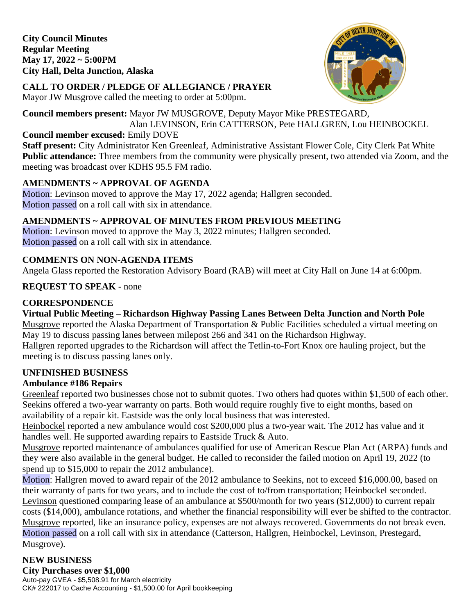**City Council Minutes Regular Meeting May 17, 2022 ~ 5:00PM City Hall, Delta Junction, Alaska** 



# **CALL TO ORDER / PLEDGE OF ALLEGIANCE / PRAYER**

Mayor JW Musgrove called the meeting to order at 5:00pm.

# **Council members present:** Mayor JW MUSGROVE, Deputy Mayor Mike PRESTEGARD,

Alan LEVINSON, Erin CATTERSON, Pete HALLGREN, Lou HEINBOCKEL

#### **Council member excused:** Emily DOVE

**Staff present:** City Administrator Ken Greenleaf, Administrative Assistant Flower Cole, City Clerk Pat White **Public attendance:** Three members from the community were physically present, two attended via Zoom, and the meeting was broadcast over KDHS 95.5 FM radio.

# **AMENDMENTS ~ APPROVAL OF AGENDA**

Motion: Levinson moved to approve the May 17, 2022 agenda; Hallgren seconded. Motion passed on a roll call with six in attendance.

# **AMENDMENTS ~ APPROVAL OF MINUTES FROM PREVIOUS MEETING**

Motion: Levinson moved to approve the May 3, 2022 minutes; Hallgren seconded. Motion passed on a roll call with six in attendance.

# **COMMENTS ON NON-AGENDA ITEMS**

Angela Glass reported the Restoration Advisory Board (RAB) will meet at City Hall on June 14 at 6:00pm.

# **REQUEST TO SPEAK** - none

# **CORRESPONDENCE**

**Virtual Public Meeting – Richardson Highway Passing Lanes Between Delta Junction and North Pole**  Musgrove reported the Alaska Department of Transportation & Public Facilities scheduled a virtual meeting on May 19 to discuss passing lanes between milepost 266 and 341 on the Richardson Highway. Hallgren reported upgrades to the Richardson will affect the Tetlin-to-Fort Knox ore hauling project, but the meeting is to discuss passing lanes only.

## **UNFINISHED BUSINESS**

## **Ambulance #186 Repairs**

Greenleaf reported two businesses chose not to submit quotes. Two others had quotes within \$1,500 of each other. Seekins offered a two-year warranty on parts. Both would require roughly five to eight months, based on availability of a repair kit. Eastside was the only local business that was interested.

Heinbockel reported a new ambulance would cost \$200,000 plus a two-year wait. The 2012 has value and it handles well. He supported awarding repairs to Eastside Truck & Auto.

Musgrove reported maintenance of ambulances qualified for use of American Rescue Plan Act (ARPA) funds and they were also available in the general budget. He called to reconsider the failed motion on April 19, 2022 (to spend up to \$15,000 to repair the 2012 ambulance).

Motion: Hallgren moved to award repair of the 2012 ambulance to Seekins, not to exceed \$16,000.00, based on their warranty of parts for two years, and to include the cost of to/from transportation; Heinbockel seconded. Levinson questioned comparing lease of an ambulance at \$500/month for two years (\$12,000) to current repair costs (\$14,000), ambulance rotations, and whether the financial responsibility will ever be shifted to the contractor. Musgrove reported, like an insurance policy, expenses are not always recovered. Governments do not break even. Motion passed on a roll call with six in attendance (Catterson, Hallgren, Heinbockel, Levinson, Prestegard, Musgrove).

#### **NEW BUSINESS City Purchases over \$1,000**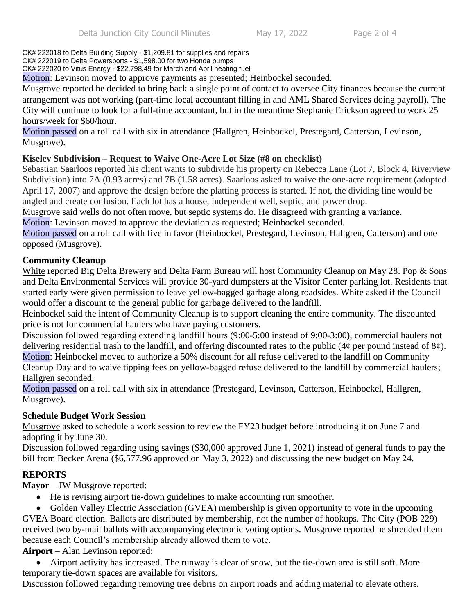CK# 222018 to Delta Building Supply - \$1,209.81 for supplies and repairs

CK# 222019 to Delta Powersports - \$1,598.00 for two Honda pumps CK# 222020 to Vitus Energy - \$22,798.49 for March and April heating fuel

Motion: Levinson moved to approve payments as presented; Heinbockel seconded.

Musgrove reported he decided to bring back a single point of contact to oversee City finances because the current arrangement was not working (part-time local accountant filling in and AML Shared Services doing payroll). The City will continue to look for a full-time accountant, but in the meantime Stephanie Erickson agreed to work 25 hours/week for \$60/hour.

Motion passed on a roll call with six in attendance (Hallgren, Heinbockel, Prestegard, Catterson, Levinson, Musgrove).

## **Kiselev Subdivision – Request to Waive One-Acre Lot Size (#8 on checklist)**

Sebastian Saarloos reported his client wants to subdivide his property on Rebecca Lane (Lot 7, Block 4, Riverview Subdivision) into 7A (0.93 acres) and 7B (1.58 acres). Saarloos asked to waive the one-acre requirement (adopted April 17, 2007) and approve the design before the platting process is started. If not, the dividing line would be angled and create confusion. Each lot has a house, independent well, septic, and power drop.

Musgrove said wells do not often move, but septic systems do. He disagreed with granting a variance.

Motion: Levinson moved to approve the deviation as requested; Heinbockel seconded.

Motion passed on a roll call with five in favor (Heinbockel, Prestegard, Levinson, Hallgren, Catterson) and one opposed (Musgrove).

#### **Community Cleanup**

White reported Big Delta Brewery and Delta Farm Bureau will host Community Cleanup on May 28. Pop & Sons and Delta Environmental Services will provide 30-yard dumpsters at the Visitor Center parking lot. Residents that started early were given permission to leave yellow-bagged garbage along roadsides. White asked if the Council would offer a discount to the general public for garbage delivered to the landfill.

Heinbockel said the intent of Community Cleanup is to support cleaning the entire community. The discounted price is not for commercial haulers who have paying customers.

Discussion followed regarding extending landfill hours (9:00-5:00 instead of 9:00-3:00), commercial haulers not delivering residential trash to the landfill, and offering discounted rates to the public (4¢ per pound instead of  $8¢$ ). Motion: Heinbockel moved to authorize a 50% discount for all refuse delivered to the landfill on Community Cleanup Day and to waive tipping fees on yellow-bagged refuse delivered to the landfill by commercial haulers; Hallgren seconded.

Motion passed on a roll call with six in attendance (Prestegard, Levinson, Catterson, Heinbockel, Hallgren, Musgrove).

#### **Schedule Budget Work Session**

Musgrove asked to schedule a work session to review the FY23 budget before introducing it on June 7 and adopting it by June 30.

Discussion followed regarding using savings (\$30,000 approved June 1, 2021) instead of general funds to pay the bill from Becker Arena (\$6,577.96 approved on May 3, 2022) and discussing the new budget on May 24.

## **REPORTS**

**Mayor** – JW Musgrove reported:

- He is revising airport tie-down guidelines to make accounting run smoother.
- Golden Valley Electric Association (GVEA) membership is given opportunity to vote in the upcoming

GVEA Board election. Ballots are distributed by membership, not the number of hookups. The City (POB 229) received two by-mail ballots with accompanying electronic voting options. Musgrove reported he shredded them because each Council's membership already allowed them to vote.

**Airport** – Alan Levinson reported:

 Airport activity has increased. The runway is clear of snow, but the tie-down area is still soft. More temporary tie-down spaces are available for visitors.

Discussion followed regarding removing tree debris on airport roads and adding material to elevate others.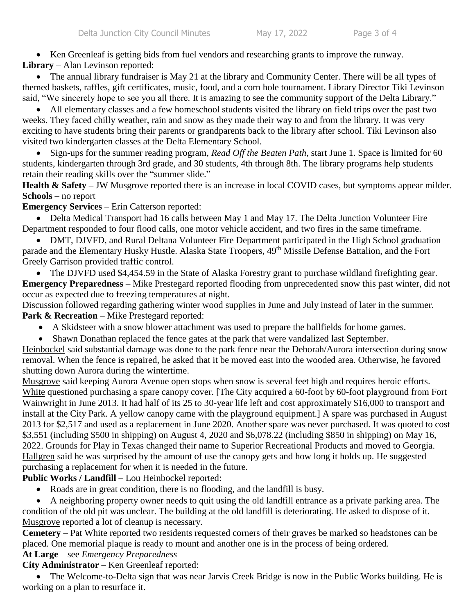• Ken Greenleaf is getting bids from fuel vendors and researching grants to improve the runway. **Library** – Alan Levinson reported:

 The annual library fundraiser is May 21 at the library and Community Center. There will be all types of themed baskets, raffles, gift certificates, music, food, and a corn hole tournament. Library Director Tiki Levinson said, "We sincerely hope to see you all there. It is amazing to see the community support of the Delta Library."

• All elementary classes and a few homeschool students visited the library on field trips over the past two weeks. They faced chilly weather, rain and snow as they made their way to and from the library. It was very exciting to have students bring their parents or grandparents back to the library after school. Tiki Levinson also visited two kindergarten classes at the Delta Elementary School.

 Sign-ups for the summer reading program, *Read Off the Beaten Path,* start June 1. Space is limited for 60 students, kindergarten through 3rd grade, and 30 students, 4th through 8th. The library programs help students retain their reading skills over the "summer slide."

**Health & Safety** – JW Musgrove reported there is an increase in local COVID cases, but symptoms appear milder. **Schools** – no report

**Emergency Services** – Erin Catterson reported:

 Delta Medical Transport had 16 calls between May 1 and May 17. The Delta Junction Volunteer Fire Department responded to four flood calls, one motor vehicle accident, and two fires in the same timeframe.

 DMT, DJVFD, and Rural Deltana Volunteer Fire Department participated in the High School graduation parade and the Elementary Husky Hustle. Alaska State Troopers, 49<sup>th</sup> Missile Defense Battalion, and the Fort Greely Garrison provided traffic control.

• The DJVFD used \$4,454.59 in the State of Alaska Forestry grant to purchase wildland firefighting gear. **Emergency Preparedness** – Mike Prestegard reported flooding from unprecedented snow this past winter, did not occur as expected due to freezing temperatures at night.

Discussion followed regarding gathering winter wood supplies in June and July instead of later in the summer. Park & Recreation – Mike Prestegard reported:

- A Skidsteer with a snow blower attachment was used to prepare the ballfields for home games.
- Shawn Donathan replaced the fence gates at the park that were vandalized last September.

Heinbockel said substantial damage was done to the park fence near the Deborah/Aurora intersection during snow removal. When the fence is repaired, he asked that it be moved east into the wooded area. Otherwise, he favored shutting down Aurora during the wintertime.

Musgrove said keeping Aurora Avenue open stops when snow is several feet high and requires heroic efforts. White questioned purchasing a spare canopy cover. [The City acquired a 60-foot by 60-foot playground from Fort Wainwright in June 2013. It had half of its 25 to 30-year life left and cost approximately \$16,000 to transport and install at the City Park. A yellow canopy came with the playground equipment.] A spare was purchased in August 2013 for \$2,517 and used as a replacement in June 2020. Another spare was never purchased. It was quoted to cost \$3,551 (including \$500 in shipping) on August 4, 2020 and \$6,078.22 (including \$850 in shipping) on May 16, 2022. Grounds for Play in Texas changed their name to Superior Recreational Products and moved to Georgia. Hallgren said he was surprised by the amount of use the canopy gets and how long it holds up. He suggested purchasing a replacement for when it is needed in the future.

**Public Works / Landfill** – Lou Heinbockel reported:

Roads are in great condition, there is no flooding, and the landfill is busy.

 A neighboring property owner needs to quit using the old landfill entrance as a private parking area. The condition of the old pit was unclear. The building at the old landfill is deteriorating. He asked to dispose of it. Musgrove reported a lot of cleanup is necessary.

**Cemetery** – Pat White reported two residents requested corners of their graves be marked so headstones can be placed. One memorial plaque is ready to mount and another one is in the process of being ordered.

#### **At Large** – see *Emergency Preparedness*

**City Administrator** – Ken Greenleaf reported:

 The Welcome-to-Delta sign that was near Jarvis Creek Bridge is now in the Public Works building. He is working on a plan to resurface it.